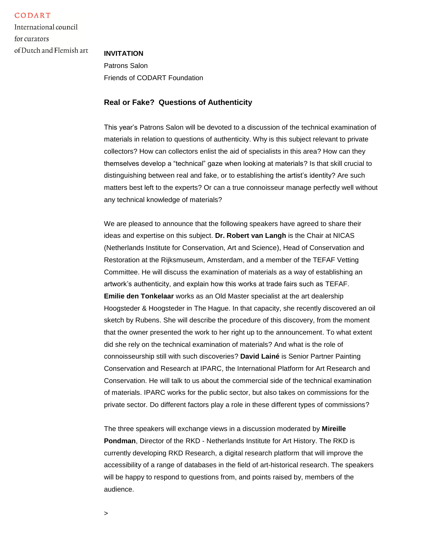CODART

International council for curators of Dutch and Flemish art

## **INVITATION**

Patrons Salon Friends of CODART Foundation

## **Real or Fake? Questions of Authenticity**

This year's Patrons Salon will be devoted to a discussion of the technical examination of materials in relation to questions of authenticity. Why is this subject relevant to private collectors? How can collectors enlist the aid of specialists in this area? How can they themselves develop a "technical" gaze when looking at materials? Is that skill crucial to distinguishing between real and fake, or to establishing the artist's identity? Are such matters best left to the experts? Or can a true connoisseur manage perfectly well without any technical knowledge of materials?

We are pleased to announce that the following speakers have agreed to share their ideas and expertise on this subject. **Dr. Robert van Langh** is the Chair at NICAS (Netherlands Institute for Conservation, Art and Science), Head of Conservation and Restoration at the Rijksmuseum, Amsterdam, and a member of the TEFAF Vetting Committee. He will discuss the examination of materials as a way of establishing an artwork's authenticity, and explain how this works at trade fairs such as TEFAF. **Emilie den Tonkelaar** works as an Old Master specialist at the art dealership Hoogsteder & Hoogsteder in The Hague. In that capacity, she recently discovered an oil sketch by Rubens. She will describe the procedure of this discovery, from the moment that the owner presented the work to her right up to the announcement. To what extent did she rely on the technical examination of materials? And what is the role of connoisseurship still with such discoveries? **David Lainé** is Senior Partner Painting Conservation and Research at IPARC, the International Platform for Art Research and Conservation. He will talk to us about the commercial side of the technical examination of materials. IPARC works for the public sector, but also takes on commissions for the private sector. Do different factors play a role in these different types of commissions?

The three speakers will exchange views in a discussion moderated by **Mireille Pondman**, Director of the RKD - Netherlands Institute for Art History. The RKD is currently developing RKD Research, a digital research platform that will improve the accessibility of a range of databases in the field of art-historical research. The speakers will be happy to respond to questions from, and points raised by, members of the audience.